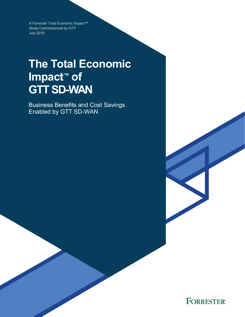A Forrester Total Economic Impact™ Study Commissioned by GTT July 2019

# **The Total Economic Impact™ of GTT SD-WAN**

Business Benefits and Cost Savings Enabled by GTT SD-WAN

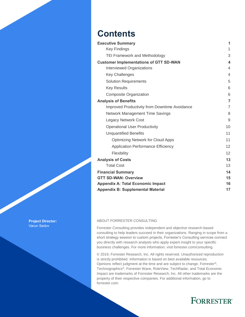## **Contents**

| <b>Executive Summary</b>                      | 1              |
|-----------------------------------------------|----------------|
| <b>Key Findings</b>                           | 1              |
| <b>TEI Framework and Methodology</b>          | 3              |
| <b>Customer Implementations of GTT SD-WAN</b> | 4              |
| <b>Interviewed Organizations</b>              | $\overline{4}$ |
| <b>Key Challenges</b>                         | $\overline{4}$ |
| <b>Solution Requirements</b>                  | 5              |
| <b>Key Results</b>                            | 6              |
| Composite Organization                        | 6              |
| <b>Analysis of Benefits</b>                   | $\overline{7}$ |
| Improved Productivity from Downtime Avoidance | $\overline{7}$ |
| <b>Network Management Time Savings</b>        | 8              |
| <b>Legacy Network Cost</b>                    | 9              |
| <b>Operational User Productivity</b>          | 10             |
| <b>Unquantified Benefits</b>                  | 11             |
| <b>Optimizing Network for Cloud Apps</b>      | 11             |
| <b>Application Performance Efficiency</b>     | 12             |
| Flexibility                                   | 12             |
| <b>Analysis of Costs</b>                      | 13             |
| <b>Total Cost</b>                             | 13             |
| <b>Financial Summary</b>                      | 14             |
| <b>GTT SD-WAN: Overview</b>                   | 15             |
| <b>Appendix A: Total Economic Impact</b>      | 16             |
| <b>Appendix B: Supplemental Material</b>      | 17             |

#### ABOUT FORRESTER CONSULTING

Forrester Consulting provides independent and objective research-based consulting to help leaders succeed in their organizations. Ranging in scope from a short strategy session to custom projects, Forrester's Consulting services connect you directly with research analysts who apply expert insight to your specific business challenges. For more information, visit forrester.com/consulting.

© 2019, Forrester Research, Inc. All rights reserved. Unauthorized reproduction is strictly prohibited. Information is based on best available resources. Opinions reflect judgment at the time and are subject to change. Forrester®, Technographics®, Forrester Wave, RoleView, TechRadar, and Total Economic Impact are trademarks of Forrester Research, Inc. All other trademarks are the property of their respective companies. For additional information, go to forrester.com.

## **FORRESTER®**

**Project Director:** Varun Sedov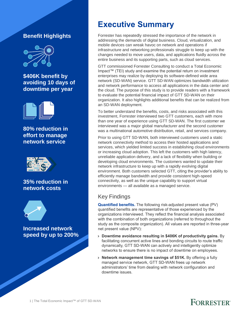## **Benefit Highlights**



**\$406K benefit by avoiding 10 days of downtime per year** 



**80% reduction in effort to manage network service**



### **35% reduction in network costs**



**Increased network speed by up to 200%**

## **Executive Summary**

Forrester has repeatedly stressed the importance of the network in addressing the demands of digital business. Cloud, virtualization, and mobile devices can wreak havoc on network and operations if infrastructure and networking professionals struggle to keep up with the changes needed to move users, data, and applications fluidly across the entire business and its supporting parts, such as cloud services.

GTT commissioned Forrester Consulting to conduct a Total Economic Impact™ (TEI) study and examine the potential return on investment enterprises may realize by deploying its software-defined wide area network (SD-WAN) service. GTT SD-WAN optimizes bandwidth utilization and network performance to access all applications in the data center and the cloud. The purpose of this study is to provide readers with a framework to evaluate the potential financial impact of GTT SD-WAN on their organization. It also highlights additional benefits that can be realized from an SD-WAN deployment.

To better understand the benefits, costs, and risks associated with this investment, Forrester interviewed two GTT customers, each with more than one year of experience using GTT SD-WAN. The first customer we interviewed was a major global manufacturer and the second customer was a multinational automotive distribution, retail, and services company.

Prior to using GTT SD-WAN, both interviewed customers used a static network connectivity method to access their hosted applications and services, which yielded limited success in establishing cloud environments or increasing cloud adoption. This left the customers with high latency, unreliable application delivery, and a lack of flexibility when building or developing cloud environments. The customers wanted to update their network infrastructure to keep up with a rapidly evolving digital environment. Both customers selected GTT, citing the provider's ability to efficiently manage bandwidth and provide consistent high-speed connectivity, as well as the unique capability to support virtual environments — all available as a managed service.

## Key Findings

**Quantified benefits.** The following risk-adjusted present value (PV) quantified benefits are representative of those experienced by the organizations interviewed. They reflect the financial analysis associated with the combination of both organizations (referred to throughout the study as the composite organization). All values are reported in three-year net present value (NPV):

- › **Downtime avoidance resulting in \$406K of productivity gains.** By facilitating concurrent active lines and bonding circuits to route traffic dynamically, GTT SD-WAN can actively and intelligently optimize networks to ensure there is no impact of downtime on employees.
- › **Network management time savings of \$51K.** By offering a fully managed service network, GTT SD-WAN frees up network administrators' time from dealing with network configuration and downtime issues.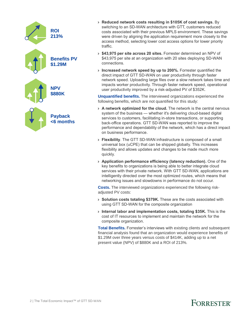

- › **Reduced network costs resulting in \$105K of cost savings.** By switching to an SD-WAN architecture with GTT, customers reduced costs associated with their previous MPLS environment. These savings were driven by aligning the application requirement more closely to the access method, selecting lower cost access options for lower priority traffic.
- › **\$43,975 per site across 20 sites.** Forrester determined an NPV of \$43,975 per site at an organization with 20 sites deploying SD-WAN connections.
- › **Increased network speed by up to 200%.** Forrester quantified the direct impact of GTT SD-WAN on user productivity through faster network speed. Uploading large files over a slow network takes time and impacts worker productivity. Through faster network speed, operational user productivity improved by a risk-adjusted PV of \$352K.

**Unquantified benefits.** The interviewed organizations experienced the following benefits, which are not quantified for this study:

- › **A network optimized for the cloud.** The network is the central nervous system of the business — whether it's delivering cloud-based digital services to customers, facilitating in-store transactions, or supporting back-office operations. GTT SD-WAN was reported to improve the performance and dependability of the network, which has a direct impact on business performance.
- › **Flexibility**. The GTT SD-WAN infrastructure is composed of a small universal box (uCPE) that can be shipped globally. This increases flexibility and allows updates and changes to be made much more quickly.
- › **Application performance efficiency (latency reduction).** One of the key benefits to organizations is being able to better integrate cloud services with their private network. With GTT SD-WAN, applications are intelligently directed over the most optimized routes, which means that networking issues and slowdowns in performance do not occur.

**Costs.** The interviewed organizations experienced the following riskadjusted PV costs:

- › **Solution costs totaling \$379K.** These are the costs associated with using GTT SD-WAN for the composite organization
- › **Internal labor and implementation costs, totaling \$35K.** This is the cost of IT resources to implement and maintain the network for the composite organization.

**Total Benefits.** Forrester's interviews with existing clients and subsequent financial analysis found that an organization would experience benefits of \$1.29M over three years versus costs of \$414K, adding up to a net present value (NPV) of \$880K and a ROI of 213%.

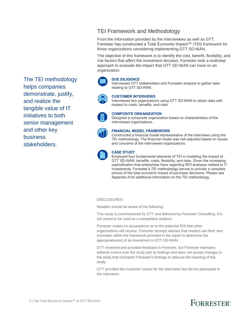The TEI methodology helps companies demonstrate, justify, and realize the tangible value of IT initiatives to both senior management and other key business stakeholders.

### TEI Framework and Methodology

From the information provided by the interviewees as well as GTT, Forrester has constructed a Total Economic Impact™ (TEI) framework for those organizations considering implementing GTT SD-WAN.

The objective of this framework is to identify the cost, benefit, flexibility, and risk factors that affect the investment decision. Forrester took a multistep approach to evaluate the impact that GTT SD-WAN can have on an organization:



### **DUE DILIGENCE**

Interviewed GTT stakeholders and Forrester analysts to gather data relating to GTT SD-WAN.



#### **CUSTOMER INTERVIEWS**

Interviewed two organizations using GTT SD-WAN to obtain data with respect to costs, benefits, and risks.



#### **COMPOSITE ORGANIZATION**

Designed a composite organization based on characteristics of the interviewed organizations.



#### **FINANCIAL MODEL FRAMEWORK**

Constructed a financial model representative of the interviews using the TEI methodology. The financial model was risk-adjusted based on issues and concerns of the interviewed organizations.



#### **CASE STUDY**

Employed four fundamental elements of TEI in modeling the impact of GTT SD-WAN: benefits, costs, flexibility, and risks. Given the increasing sophistication that enterprises have regarding ROI analyses related to IT investments, Forrester's TEI methodology serves to provide a complete picture of the total economic impact of purchase decisions. Please see Appendix A for additional information on the TEI methodology.

#### **DISCLOSURES**

Readers should be aware of the following:

This study is commissioned by GTT and delivered by Forrester Consulting. It is not meant to be used as a competitive analysis.

Forrester makes no assumptions as to the potential ROI that other organizations will receive. Forrester strongly advises that readers use their own estimates within the framework provided in the report to determine the appropriateness of an investment in GTT SD-WAN.

GTT reviewed and provided feedback to Forrester, but Forrester maintains editorial control over the study and its findings and does not accept changes to the study that contradict Forrester's findings or obscure the meaning of the study.

GTT provided the customer names for the interviews but did not participate in the interviews.

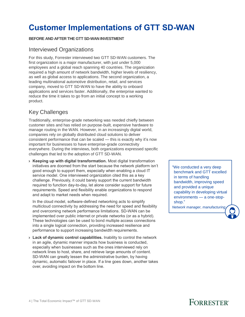## **Customer Implementations of GTT SD-WAN**

### **BEFORE AND AFTER THE GTT SD-WAN INVESTMENT**

### Interviewed Organizations

For this study, Forrester interviewed two GTT SD-WAN customers. The first organization is a major manufacturer, with just under 5,000 employees and a global reach spanning 40 countries. The organization required a high amount of network bandwidth, higher levels of resiliency, as well as global access to applications. The second organization, a leading multinational automotive distribution, retail, and services company, moved to GTT SD-WAN to have the ability to onboard applications and services faster. Additionally, the enterprise wanted to reduce the time it takes to go from an initial concept to a working product.

### Key Challenges

Traditionally, enterprise-grade networking was needed chiefly between customer sites and has relied on purpose-built, expensive hardware to manage routing in the WAN. However, in an increasingly digital world, companies rely on globally distributed cloud solutions to deliver consistent performance that can be scaled — this is exactly why it's now important for businesses to have enterprise-grade connectivity everywhere. During the interviews, both organizations expressed specific challenges that led to the adoption of GTT SD-WAN.

› **Keeping up with digital transformation.** Most digital transformation initiatives are doomed from the start because the network platform isn't good enough to support them, especially when enabling a cloud IT service model. One interviewed organization cited this as a key challenge. Previously, it could barely support the current bandwidth required to function day-to-day, let alone consider support for future requirements. Speed and flexibility enable organizations to respond and adapt to market needs when required.

In the cloud model, software-defined networking acts to simplify multicloud connectivity by addressing the need for speed and flexibility and overcoming network performance limitations. SD-WAN can be implemented over public internet or private networks (or as a hybrid). These technologies can be used to bond multiple access connections into a single logical connection, providing increased resilience and performance to support increasing bandwidth requirements.

› **Lack of dynamic control capabilities.** Inability to control the network in an agile, dynamic manner impacts how business is conducted, especially when businesses such as the ones interviewed rely on network lines to host, share, and retrieve large amounts of content. SD-WAN can greatly lessen the administrative burden, by having dynamic, automatic failover in place. If a line goes down, another takes over, avoiding impact on the bottom line.

"We conducted a very deep benchmark and GTT excelled in terms of handling bandwidth, improving speed and provided a unique capability in developing virtual environments — a one-stopshop."

*Network manager, manufacturing*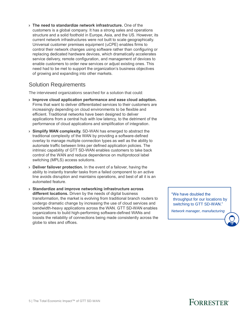› **The need to standardize network infrastructure.** One of the customers is a global company. It has a strong sales and operations structure and a solid foothold in Europe, Asia, and the US. However, its current network infrastructures were not built to scale geographically. Universal customer premises equipment (uCPE) enables firms to control their network changes using software rather than configuring or replacing dedicated hardware devices, which dramatically accelerates service delivery, remote configuration, and management of devices to enable customers to order new services or adjust existing ones. This need had to be met to support the organization's business objectives of growing and expanding into other markets.

### Solution Requirements

The interviewed organizations searched for a solution that could:

- › **Improve cloud application performance and ease cloud adoption.**  Firms that want to deliver differentiated services to their customers are increasingly depending on cloud environments to be flexible and efficient. Traditional networks have been designed to deliver applications from a central hub with low latency, to the detriment of the performance of cloud applications and simplification of integration.
- › **Simplify WAN complexity.** SD-WAN has emerged to abstract the traditional complexity of the WAN by providing a software-defined overlay to manage multiple connection types as well as the ability to automate traffic between links per defined application policies. The intrinsic capability of GTT SD-WAN enables customers to take back control of the WAN and reduce dependence on multiprotocol label switching (MPLS) access solutions.
- › **Deliver failover protection.** In the event of a failover, having the ability to instantly transfer tasks from a failed component to an active line avoids disruption and maintains operations, and best of all it is an automated feature.
- › **Standardize and improve networking infrastructure across different locations.** Driven by the needs of digital business transformation, the market is evolving from traditional branch routers to undergo dramatic change by increasing the use of cloud services and bandwidth-heavy applications across the WAN. GTT SD-WAN enables organizations to build high-performing software-defined WANs and boosts the reliability of connections being made consistently across the globe to sites and offices.

"We have doubled the throughput for our locations by switching to GTT SD-WAN."

*Network manager, manufacturing*

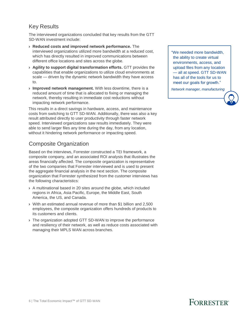## Key Results

The interviewed organizations concluded that key results from the GTT SD-WAN investment include:

- › **Reduced costs and improved network performance.** The interviewed organizations utilized more bandwidth at a reduced cost, which has directly resulted in improved communications between different office locations and sites across the globe.
- › **Agility to support digital transformation efforts.** GTT provides the capabilities that enable organizations to utilize cloud environments at scale — driven by the dynamic network bandwidth they have access to.
- › **Improved network management.** With less downtime, there is a reduced amount of time that is allocated to fixing or managing the network, thereby resulting in immediate cost reductions without impacting network performance.

This results in a direct savings in hardware, access, and maintenance costs from switching to GTT SD-WAN. Additionally, there was also a key result attributed directly to user productivity through faster network speed. Interviewed organizations saw results immediately. They were able to send larger files any time during the day, from any location, without it hindering network performance or impacting speed.

## Composite Organization

Based on the interviews, Forrester constructed a TEI framework, a composite company, and an associated ROI analysis that illustrates the areas financially affected. The composite organization is representative of the two companies that Forrester interviewed and is used to present the aggregate financial analysis in the next section. The composite organization that Forrester synthesized from the customer interviews has the following characteristics:

- › A multinational based in 20 sites around the globe, which included regions in Africa, Asia Pacific, Europe, the Middle East, South America, the US, and Canada.
- › With an estimated annual revenue of more than \$1 billion and 2,500 employees, the composite organization offers hundreds of products to its customers and clients.
- › The organization adopted GTT SD-WAN to improve the performance and resiliency of their network, as well as reduce costs associated with managing their MPLS WAN across branches.

"We needed more bandwidth, the ability to create virtual environments, access, and upload files from any location — all at speed. GTT SD-WAN has all of the tools for us to meet our goals for growth."

*Network manager, manufacturing*

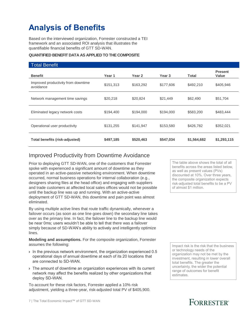## **Analysis of Benefits**

Based on the interviewed organization, Forrester constructed a TEI framework and an associated ROI analysis that illustrates the quantifiable financial benefits of GTT SD-WAN.

### **QUANTIFIED BENEFIT DATA AS APPLIED TO THE COMPOSITE**

| <b>Total Benefit</b>                             |           |           |                   |              |                         |
|--------------------------------------------------|-----------|-----------|-------------------|--------------|-------------------------|
| <b>Benefit</b>                                   | Year 1    | Year 2    | Year <sub>3</sub> | <b>Total</b> | <b>Present</b><br>Value |
| Improved productivity from downtime<br>avoidance | \$151,313 | \$163,292 | \$177,606         | \$492,210    | \$405,946               |
| Network management time savings                  | \$20,218  | \$20,824  | \$21,449          | \$62,490     | \$51,704                |
| Eliminated legacy network costs                  | \$194,400 | \$194,000 | \$194,000         | \$583,200    | \$483,444               |
| Operational user productivity                    | \$131,255 | \$141,947 | \$153,580         | \$426,782    | \$352,021               |
| Total benefits (risk-adjusted)                   | \$497,185 | \$520,463 | \$547,034         | \$1,564,682  | \$1,293,115             |

## Improved Productivity from Downtime Avoidance

Prior to deploying GTT SD-WAN, one of the customers that Forrester spoke with experienced a significant amount of downtime as they operated in an active-passive networking environment. When downtime occurred, normal business operations for internal collaboration (e.g., designers sharing files at the head office) and engaging with suppliers and trade customers at affected local sales offices would not be possible until the backup line was up and running. With an active-active deployment of GTT SD-WAN, this downtime and pain point was almost eliminated.

By using multiple active lines that route traffic dynamically, whenever a failover occurs (as soon as one line goes down) the secondary line takes over as the primary line. In fact, the failover line to the backup line would be near 0ms; users wouldn't be able to tell that there was a failover simply because of SD-WAN's ability to actively and intelligently optimize lines.

**Modeling and assumptions.** For the composite organization, Forrester assumes the following:

- › In the previous network environment, the organization experienced 0.5 operational days of annual downtime at each of its 20 locations that are connected to SD-WAN.
- › The amount of downtime an organization experiences with its current network may affect the benefits realized by other organizations that deploy SD-WAN.

To account for these risk factors, Forrester applied a 10% risk adjustment, yielding a three-year, risk-adjusted total PV of \$405,900.

The table above shows the total of all benefits across the areas listed below, as well as present values (PVs) discounted at 10%. Over three years, the composite organization expects risk-adjusted total benefits to be a PV of almost \$1 million.

Impact risk is the risk that the business or technology needs of the organization may not be met by the investment, resulting in lower overall total benefits. The greater the uncertainty, the wider the potential range of outcomes for benefit estimates.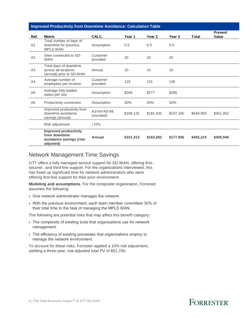|                | <b>Improved Productivity from Downtime Avoidance: Calculation Table</b>                |                          |           |                   |           |              |                                |
|----------------|----------------------------------------------------------------------------------------|--------------------------|-----------|-------------------|-----------|--------------|--------------------------------|
| Ref.           | <b>Metric</b>                                                                          | CALC.                    | Year 1    | Year <sub>2</sub> | Year 3    | <b>Total</b> | <b>Present</b><br><b>Value</b> |
| A <sub>1</sub> | Total number of days of<br>downtime for previous<br><b>MPLS WAN</b>                    | Assumption               | 0.5       | 0.5               | 0.5       |              |                                |
| A2             | Sites connected to SD-<br><b>WAN</b>                                                   | Customer<br>provided     | 20        | 20                | 20        |              |                                |
| A3             | Total days of downtime<br>across all locations<br>(annual) prior to SD-WAN             | Annual                   | 10        | 10                | 10        |              |                                |
| A4             | Average number of<br>employees per location                                            | Customer<br>provided     | 125       | 131               | 138       |              |                                |
| A <sub>5</sub> | Average fully loaded<br>salary per day                                                 | Assumption               | \$269     | \$277             | \$286     |              |                                |
| A <sub>6</sub> | Productivity conversion                                                                | Assumption               | 50%       | 50%               | 50%       |              |                                |
|                | Improved productivity from<br>downtime avoidance<br>savings (annual)                   | A3*A4*A5*A6<br>(rounded) | \$168,125 | \$181,435         | \$197,340 | \$546,900    | \$451,052                      |
|                | Risk adjustment                                                                        | 110%                     |           |                   |           |              |                                |
|                | <b>Improved productivity</b><br>from downtime<br>avoidance savings (risk-<br>adjusted) | Annual                   | \$151,313 | \$163,292         | \$177,606 | \$492,210    | \$405,946                      |

### Network Management Time Savings

GTT offers a fully managed service support for SD-WAN, offering first-, second-, and third-line support. For the organizations interviewed, this has freed up significant time for network administrators who were offering first-line support for their prior environment.

**Modeling and assumptions**. For the composite organization, Forrester assumes the following:

- › One network administrator manages the network.
- › With the previous environment, each team member committed 30% of their total time to the task of managing the MPLS WAN.

The following are potential risks that may affect this benefit category:

- › The complexity of existing tools that organizations use for network management.
- › The efficiency of existing processes that organizations employ to manage the network environment.

To account for these risks, Forrester applied a 10% risk adjustment, yielding a three-year, risk-adjusted total PV of \$51,700.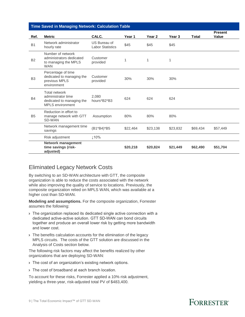### **Time Saved in Managing Network: Calculation Table**

|                | <b>THIS Caved III managing Network. Calculation Table</b>                                   |                                         |          |          |          |              |                                |
|----------------|---------------------------------------------------------------------------------------------|-----------------------------------------|----------|----------|----------|--------------|--------------------------------|
| Ref.           | <b>Metric</b>                                                                               | CALC.                                   | Year 1   | Year 2   | Year 3   | <b>Total</b> | <b>Present</b><br><b>Value</b> |
| <b>B1</b>      | Network administrator<br>hourly rate                                                        | US Bureau of<br><b>Labor Statistics</b> | \$45     | \$45     | \$45     |              |                                |
| <b>B2</b>      | Number of network<br>administrators dedicated<br>to managing the MPLS<br><b>WAN</b>         | Customer<br>provided                    | 1        | 1        | 1        |              |                                |
| B <sub>3</sub> | Percentage of time<br>dedicated to managing the<br>previous MPLS<br>environment             | Customer<br>provided                    | 30%      | 30%      | 30%      |              |                                |
| <b>B4</b>      | Total network<br>administrator time<br>dedicated to managing the<br><b>MPLS</b> environment | 2,080<br>hours*B2*B3                    | 624      | 624      | 624      |              |                                |
| <b>B5</b>      | Reduction in effort to<br>manage network with GTT<br>SD-WAN                                 | Assumption                              | 80%      | 80%      | 80%      |              |                                |
|                | Network management time<br>savings                                                          | (B1*B4)*B5                              | \$22,464 | \$23,138 | \$23,832 | \$69,434     | \$57,449                       |
|                | Risk adjustment                                                                             | 110%                                    |          |          |          |              |                                |
|                | <b>Network management</b><br>time savings (risk-<br>adjusted)                               |                                         | \$20,218 | \$20,824 | \$21,449 | \$62,490     | \$51,704                       |

### Eliminated Legacy Network Costs

By switching to an SD-WAN architecture with GTT, the composite organization is able to reduce the costs associated with the network while also improving the quality of service to locations. Previously, the composite organization relied on MPLS WAN, which was available at a higher cost than SD-WAN.

**Modeling and assumptions.** For the composite organization, Forrester assumes the following:

- › The organization replaced its dedicated single active connection with a dedicated active-active solution. GTT SD-WAN can bond circuits together and produce an overall lower risk by getting more bandwidth and lower cost.
- › The benefits calculation accounts for the elimination of the legacy MPLS circuits. The costs of the GTT solution are discussed in the Analysis of Costs section below.

The following risk factors may affect the benefits realized by other organizations that are deploying SD-WAN:

- › The cost of an organization's existing network options.
- › The cost of broadband at each branch location.

To account for these risks, Forrester applied a 10% risk adjustment, yielding a three-year, risk-adjusted total PV of \$483,400.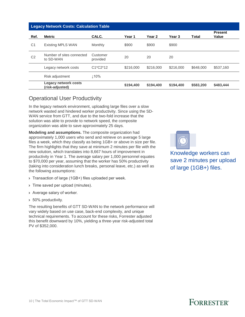| <b>Legacy Network Costs: Calculation Table</b> |                                         |                      |           |           |           |           |                         |  |
|------------------------------------------------|-----------------------------------------|----------------------|-----------|-----------|-----------|-----------|-------------------------|--|
| Ref.                                           | <b>Metric</b>                           | CALC.                | Year 1    | Year 2    | Year 3    | Total     | <b>Present</b><br>Value |  |
| C <sub>1</sub>                                 | <b>Existing MPLS WAN</b>                | Monthly              | \$900     | \$900     | \$900     |           |                         |  |
| C <sub>2</sub>                                 | Number of sites connected<br>to SD-WAN  | Customer<br>provided | 20        | 20        | 20        |           |                         |  |
|                                                | Legacy network costs                    | $C1*C2*12$           | \$216,000 | \$216,000 | \$216,000 | \$648,000 | \$537,160               |  |
|                                                | Risk adjustment                         | $\perp$ 10%          |           |           |           |           |                         |  |
|                                                | Legacy network costs<br>(risk-adjusted) |                      | \$194,400 | \$194,400 | \$194,400 | \$583,200 | \$483,444               |  |

## Operational User Productivity

In the legacy network environment, uploading large files over a slow network wasted and hindered worker productivity. Since using the SD-WAN service from GTT, and due to the two-fold increase that the solution was able to provide to network speed, the composite organization was able to save approximately 25 days.

**Modeling and assumptions.** The composite organization had approximately 1,000 users who send and retrieve on average 5 large files a week, which they classify as being 1GB+ or above in size per file. The firm highlights that they save at minimum 2 minutes per file with the new solution, which translates into 8,667 hours of improvement in productivity in Year 1. The average salary per 1,000 personnel equates to \$70,000 per year, assuming that the worker has 50% productivity (taking into consideration lunch breaks, personal leave, etc.) as well as the following assumptions:

- › Transaction of large (1GB+) files uploaded per week.
- > Time saved per upload (minutes).
- › Average salary of worker.
- › 50% productivity.

The resulting benefits of GTT SD-WAN to the network performance will vary widely based on use case, back-end complexity, and unique technical requirements. To account for these risks, Forrester adjusted this benefit downward by 10%, yielding a three-year risk-adjusted total PV of \$352,000.

Knowledge workers can save 2 minutes per upload of large (1GB+) files.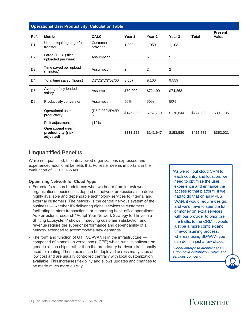|                | <b>Operational User Productivity: Calculation Table</b>     |                      |           |                |                |           |                         |
|----------------|-------------------------------------------------------------|----------------------|-----------|----------------|----------------|-----------|-------------------------|
| Ref.           | <b>Metric</b>                                               | CALC.                | Year 1    | Year 2         | Year 3         | Total     | <b>Present</b><br>Value |
| D <sub>1</sub> | Users requiring large file<br>transfer                      | Customer<br>provided | 1,000     | 1,050          | 1,103          |           |                         |
| D <sub>2</sub> | Large (1GB+) files<br>uploaded per week                     | Assumption           | 5         | 5              | 5              |           |                         |
| D <sub>3</sub> | Time saved per upload<br>(minutes)                          | Assumption           | 2         | $\overline{2}$ | $\overline{2}$ |           |                         |
| D <sub>4</sub> | Total time saved (hours)                                    | D1*D2*D3*52/60       | 8.667     | 9,100          | 9,559          |           |                         |
| D <sub>5</sub> | Average fully loaded<br>salary                              | Assumption           | \$70,000  | \$72,100       | \$74,263       |           |                         |
| D <sub>6</sub> | Productivity conversion                                     | Assumption           | 50%       | 50%            | 50%            |           |                         |
|                | Operational user<br>productivity                            | (D5/2,080)*D4*D<br>6 | \$145,839 | \$157,719      | \$170,644      | \$474,202 | \$391,135               |
|                | Risk adjustment                                             | ↓10%                 |           |                |                |           |                         |
|                | <b>Operational user</b><br>productivity (risk-<br>adjusted) |                      | \$131,255 | \$141,947      | \$153,580      | \$426,782 | \$352,021               |

## Unquantified Benefits

While not quantified, the interviewed organizations expressed and experienced additional benefits that Forrester deems important in the evaluation of GTT SD-WAN.

### **Optimizing Network for Cloud Apps**

- › Forrester's research reinforces what we heard from interviewed organizations: businesses depend on network professionals to deliver highly available and dependable technology services to internal and external customers. The network is the central nervous system of the business — whether it's delivering digital services to customers, facilitating in-store transactions, or supporting back-office operations. As Forrester's research "Adapt Your Network Strategy to Thrive in a Shifting Ecosystem" shows, improving customer satisfaction and revenue require the superior performance and dependability of a network extended to accommodate new demands.
- › The form and function of GTT SD-WAN is in the infrastructure composed of a small universal box (uCPE) which runs its software on generic silicon chips, rather than the proprietary hardware traditionally used for routing. These boxes can be deployed across many sites at low cost and are usually controlled centrally with local customization available. This increases flexibility and allows updates and changes to be made much more quickly.

"As we roll out cloud CRM to each country and location, we need to optimize the user experience and enhance the access to that platform. If we had to do that on an MPLS WAN, it would require design, and we'd have to spend a lot of money on extra services with our provider to prioritize the traffic to the CRM. It would just be a more complex and time-consuming process, whereas using SD-WAN you can do it in just a few clicks."

*Global enterprise architect at an automotive distribution, retail, and services company*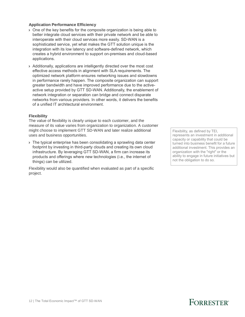#### **Application Performance Efficiency**

- › One of the key benefits for the composite organization is being able to better integrate cloud services with their private network and be able to interoperate with their cloud services more easily. SD-WAN is a sophisticated service, yet what makes the GTT solution unique is the integration with its low latency and software-defined network, which creates a hybrid environment to support on-premises and cloud-based applications.
- › Additionally, applications are intelligently directed over the most cost effective access methods in alignment with SLA requirements. The optimized network platform ensures networking issues and slowdowns in performance rarely happen. The composite organization can support greater bandwidth and have improved performance due to the activeactive setup provided by GTT SD-WAN. Additionally, the enablement of network integration or separation can bridge and connect disparate networks from various providers. In other words, it delivers the benefits of a unified IT architectural environment.

#### **Flexibility**

The value of flexibility is clearly unique to each customer, and the measure of its value varies from organization to organization. A customer might choose to implement GTT SD-WAN and later realize additional uses and business opportunities.

› The typical enterprise has been consolidating a sprawling data center footprint by investing in third-party clouds and creating its own cloud infrastructure. By leveraging GTT SD-WAN, a firm can increase its products and offerings where new technologies (i.e., the internet of things) can be utilized.

Flexibility would also be quantified when evaluated as part of a specific project.

Flexibility, as defined by TEI, represents an investment in additional capacity or capability that could be turned into business benefit for a future additional investment. This provides an organization with the "right" or the ability to engage in future initiatives but not the obligation to do so.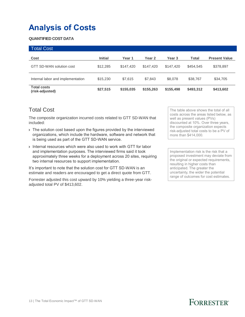## **Analysis of Costs**

### **QUANTIFIED COST DATA**

| <b>Total Cost</b>                     |                |           |           |           |           |                      |
|---------------------------------------|----------------|-----------|-----------|-----------|-----------|----------------------|
| Cost                                  | <b>Initial</b> | Year 1    | Year 2    | Year 3    | Total     | <b>Present Value</b> |
| GTT SD-WAN solution cost              | \$12,285       | \$147.420 | \$147.420 | \$147.420 | \$454,545 | \$378,897            |
| Internal labor and implementation     | \$15,230       | \$7.615   | \$7,843   | \$8,078   | \$38,767  | \$34,705             |
| <b>Total costs</b><br>(risk-adjusted) | \$27,515       | \$155,035 | \$155,263 | \$155,498 | \$493,312 | \$413,602            |

### Total Cost

The composite organization incurred costs related to GTT SD-WAN that included:

- › The solution cost based upon the figures provided by the interviewed organizations, which include the hardware, software and network that is being used as part of the GTT SD-WAN service.
- › Internal resources which were also used to work with GTT for labor and implementation purposes. The interviewed firms said it took approximately three weeks for a deployment across 20 sites, requiring two internal resources to support implementation.

It's important to note that the solution cost for GTT SD-WAN is an estimate and readers are encouraged to get a direct quote from GTT.

Forrester adjusted this cost upward by 10% yielding a three-year riskadjusted total PV of \$413,602.

The table above shows the total of all costs across the areas listed below, as well as present values (PVs) discounted at 10%. Over three years, the composite organization expects risk-adjusted total costs to be a PV of more than \$414,000.

Implementation risk is the risk that a proposed investment may deviate from the original or expected requirements, resulting in higher costs than anticipated. The greater the uncertainty, the wider the potential range of outcomes for cost estimates.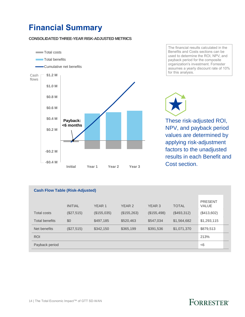## **Financial Summary**

### **CONSOLIDATED THREE-YEAR RISK-ADJUSTED METRICS**



The financial results calculated in the Benefits and Costs sections can be used to determine the ROI, NPV, and payback period for the composite organization's investment. Forrester assumes a yearly discount rate of 10% for this analysis.

These risk-adjusted ROI, NPV, and payback period values are determined by applying risk-adjustment factors to the unadjusted results in each Benefit and Cost section.

| <b>Cash Flow Table (Risk-Adjusted)</b> |                |                   |             |                   |              |                                |  |
|----------------------------------------|----------------|-------------------|-------------|-------------------|--------------|--------------------------------|--|
|                                        | <b>INITIAL</b> | YEAR <sub>1</sub> | YEAR 2      | YEAR <sub>3</sub> | <b>TOTAL</b> | <b>PRESENT</b><br><b>VALUE</b> |  |
| <b>Total costs</b>                     | (\$27,515)     | (\$155,035)       | (\$155,263) | (\$155,498)       | (\$493,312)  | (\$413,602)                    |  |
| <b>Total benefits</b>                  | \$0            | \$497.185         | \$520,463   | \$547,034         | \$1,564,682  | \$1,293,115                    |  |
| Net benefits                           | (\$27,515)     | \$342,150         | \$365,199   | \$391,536         | \$1,071,370  | \$879,513                      |  |
| <b>ROI</b>                             |                |                   |             |                   |              | 213%                           |  |
| Payback period                         |                |                   |             |                   |              | < 6                            |  |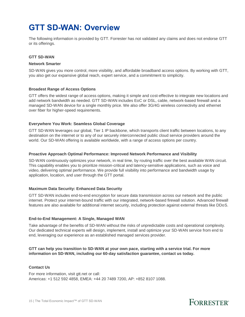## **GTT SD-WAN: Overview**

The following information is provided by GTT. Forrester has not validated any claims and does not endorse GTT or its offerings.

#### **GTT SD-WAN**

### **Network Smarter**

SD-WAN gives you more control, more visibility, and affordable broadband access options. By working with GTT, you also get our expansive global reach, expert service, and a commitment to simplicity.

#### **Broadest Range of Access Options**

GTT offers the widest range of access options, making it simple and cost-effective to integrate new locations and add network bandwidth as needed. GTT SD-WAN includes EoC or DSL, cable, network-based firewall and a managed SD-WAN device for a single monthly price. We also offer 3G/4G wireless connectivity and ethernet over fiber for higher-speed requirements.

#### **Everywhere You Work: Seamless Global Coverage**

GTT SD-WAN leverages our global, Tier 1 IP backbone, which transports client traffic between locations, to any destination on the internet or to any of our securely interconnected public cloud service providers around the world. Our SD-WAN offering is available worldwide, with a range of access options per country.

#### **Proactive Approach Optimal Performance: Improved Network Performance and Visibility**

SD-WAN continuously optimizes your network, in real time, by routing traffic over the best available WAN circuit. This capability enables you to prioritize mission-critical and latency-sensitive applications, such as voice and video, delivering optimal performance. We provide full visibility into performance and bandwidth usage by application, location, and user through the GTT portal.

#### **Maximum Data Security: Enhanced Data Security**

GTT SD-WAN includes end-to-end encryption for secure data transmission across our network and the public internet. Protect your internet-bound traffic with our integrated, network-based firewall solution. Advanced firewall features are also available for additional internet security, including protection against external threats like DDoS.

#### **End-to-End Management: A Single, Managed WAN**

Take advantage of the benefits of SD-WAN without the risks of unpredictable costs and operational complexity. Our dedicated technical experts will design, implement, install and optimize your SD-WAN service from end to end, leveraging our experience as an established managed services provider.

### **GTT can help you transition to SD-WAN at your own pace, starting with a service trial. For more information on SD-WAN, including our 60-day satisfaction guarantee, contact us today.**

#### **Contact Us**

For more information, visit gtt.net or call: Americas: [+1 512 592 4858,](tel:+15125924858) EMEA: [+44 20 7489 7200,](tel:+442074897200) AP: [+852 8107 1088.](tel:+85281071088)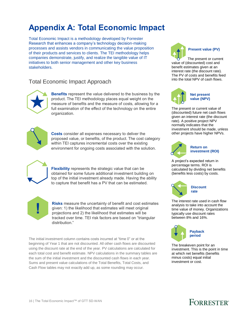## **Appendix A: Total Economic Impact**

Total Economic Impact is a methodology developed by Forrester Research that enhances a company's technology decision-making processes and assists vendors in communicating the value proposition of their products and services to clients. The TEI methodology helps companies demonstrate, justify, and realize the tangible value of IT initiatives to both senior management and other key business stakeholders.

### Total Economic Impact Approach



**Benefits** represent the value delivered to the business by the product. The TEI methodology places equal weight on the measure of benefits and the measure of costs, allowing for a full examination of the effect of the technology on the entire organization.



**Costs** consider all expenses necessary to deliver the proposed value, or benefits, of the product. The cost category within TEI captures incremental costs over the existing environment for ongoing costs associated with the solution.

**Flexibility** represents the strategic value that can be obtained for some future additional investment building on top of the initial investment already made. Having the ability to capture that benefit has a PV that can be estimated.



**Risks** measure the uncertainty of benefit and cost estimates given: 1) the likelihood that estimates will meet original projections and 2) the likelihood that estimates will be tracked over time. TEI risk factors are based on "triangular distribution."

The initial investment column contains costs incurred at "time 0" or at the beginning of Year 1 that are not discounted. All other cash flows are discounted using the discount rate at the end of the year. PV calculations are calculated for each total cost and benefit estimate. NPV calculations in the summary tables are the sum of the initial investment and the discounted cash flows in each year. Sums and present value calculations of the Total Benefits, Total Costs, and Cash Flow tables may not exactly add up, as some rounding may occur.



The present or current value of (discounted) cost and benefit estimates given at an interest rate (the discount rate). The PV of costs and benefits feed into the total NPV of cash flows.



**Net present value (NPV)**

The present or current value of (discounted) future net cash flows given an interest rate (the discount rate). A positive project NPV normally indicates that the investment should be made, unless other projects have higher NPVs.



**Return on investment (ROI)**

A project's expected return in percentage terms. ROI is calculated by dividing net benefits (benefits less costs) by costs.



The interest rate used in cash flow analysis to take into account the time value of money. Organizations typically use discount rates between 8% and 16%.



The breakeven point for an investment. This is the point in time at which net benefits (benefits minus costs) equal initial investment or cost.